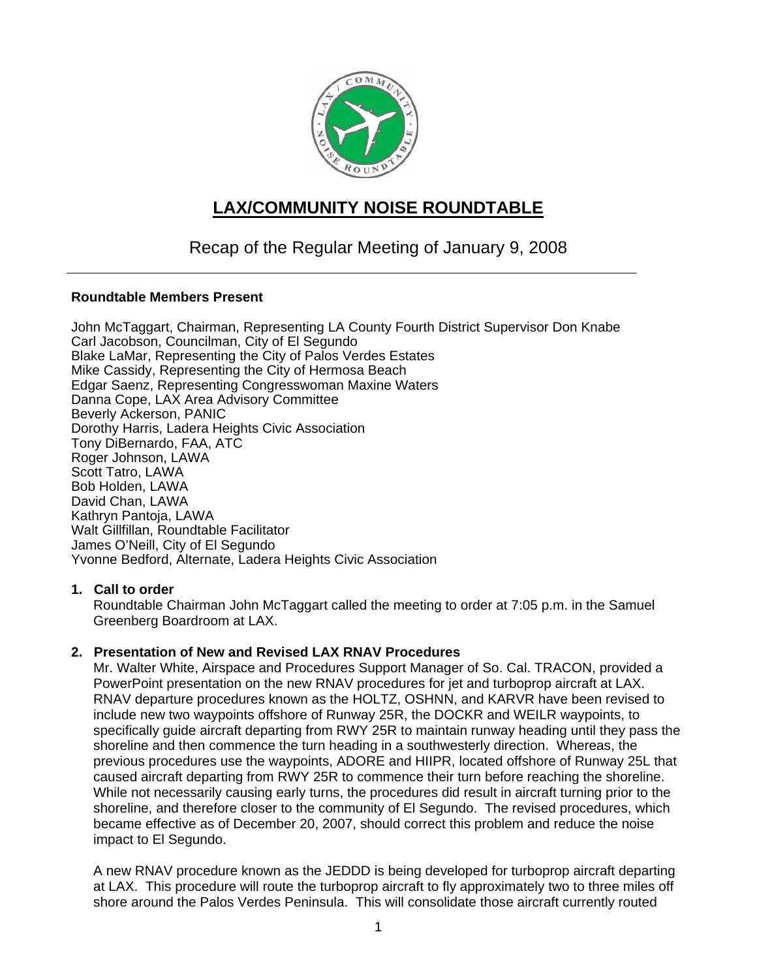

# **LAX/COMMUNITY NOISE ROUNDTABLE**

## Recap of the Regular Meeting of January 9, 2008

#### **Roundtable Members Present**

John McTaggart, Chairman, Representing LA County Fourth District Supervisor Don Knabe Carl Jacobson, Councilman, City of El Segundo Blake LaMar, Representing the City of Palos Verdes Estates Mike Cassidy, Representing the City of Hermosa Beach Edgar Saenz, Representing Congresswoman Maxine Waters Danna Cope, LAX Area Advisory Committee Beverly Ackerson, PANIC Dorothy Harris, Ladera Heights Civic Association Tony DiBernardo, FAA, ATC Roger Johnson, LAWA Scott Tatro, LAWA Bob Holden, LAWA David Chan, LAWA Kathryn Pantoja, LAWA Walt Gillfillan, Roundtable Facilitator James O'Neill, City of El Segundo Yvonne Bedford, Alternate, Ladera Heights Civic Association

## **1. Call to order**

Roundtable Chairman John McTaggart called the meeting to order at 7:05 p.m. in the Samuel Greenberg Boardroom at LAX.

## **2. Presentation of New and Revised LAX RNAV Procedures**

Mr. Walter White, Airspace and Procedures Support Manager of So. Cal. TRACON, provided a PowerPoint presentation on the new RNAV procedures for jet and turboprop aircraft at LAX. RNAV departure procedures known as the HOLTZ, OSHNN, and KARVR have been revised to include new two waypoints offshore of Runway 25R, the DOCKR and WEILR waypoints, to specifically guide aircraft departing from RWY 25R to maintain runway heading until they pass the shoreline and then commence the turn heading in a southwesterly direction. Whereas, the previous procedures use the waypoints, ADORE and HIIPR, located offshore of Runway 25L that caused aircraft departing from RWY 25R to commence their turn before reaching the shoreline. While not necessarily causing early turns, the procedures did result in aircraft turning prior to the shoreline, and therefore closer to the community of El Segundo. The revised procedures, which became effective as of December 20, 2007, should correct this problem and reduce the noise impact to El Segundo.

A new RNAV procedure known as the JEDDD is being developed for turboprop aircraft departing at LAX. This procedure will route the turboprop aircraft to fly approximately two to three miles off shore around the Palos Verdes Peninsula. This will consolidate those aircraft currently routed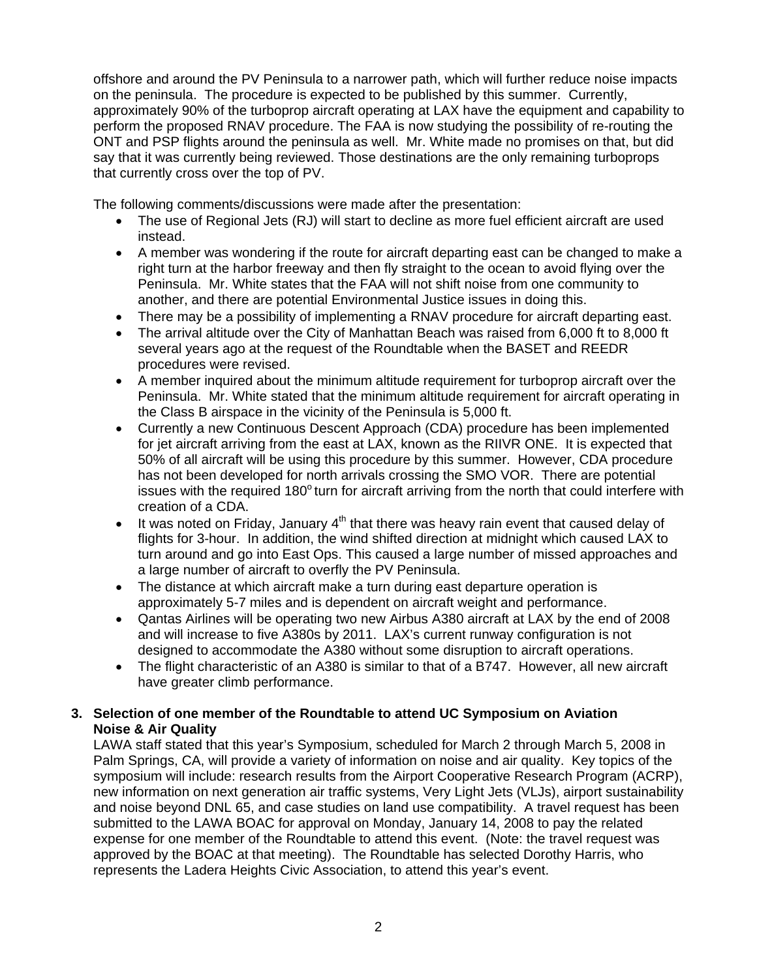offshore and around the PV Peninsula to a narrower path, which will further reduce noise impacts on the peninsula. The procedure is expected to be published by this summer. Currently, approximately 90% of the turboprop aircraft operating at LAX have the equipment and capability to perform the proposed RNAV procedure. The FAA is now studying the possibility of re-routing the ONT and PSP flights around the peninsula as well. Mr. White made no promises on that, but did say that it was currently being reviewed. Those destinations are the only remaining turboprops that currently cross over the top of PV.

The following comments/discussions were made after the presentation:

- The use of Regional Jets (RJ) will start to decline as more fuel efficient aircraft are used instead.
- A member was wondering if the route for aircraft departing east can be changed to make a right turn at the harbor freeway and then fly straight to the ocean to avoid flying over the Peninsula. Mr. White states that the FAA will not shift noise from one community to another, and there are potential Environmental Justice issues in doing this.
- There may be a possibility of implementing a RNAV procedure for aircraft departing east.
- The arrival altitude over the City of Manhattan Beach was raised from 6,000 ft to 8,000 ft several years ago at the request of the Roundtable when the BASET and REEDR procedures were revised.
- A member inquired about the minimum altitude requirement for turboprop aircraft over the Peninsula. Mr. White stated that the minimum altitude requirement for aircraft operating in the Class B airspace in the vicinity of the Peninsula is 5,000 ft.
- Currently a new Continuous Descent Approach (CDA) procedure has been implemented for jet aircraft arriving from the east at LAX, known as the RIIVR ONE. It is expected that 50% of all aircraft will be using this procedure by this summer. However, CDA procedure has not been developed for north arrivals crossing the SMO VOR. There are potential issues with the required 180° turn for aircraft arriving from the north that could interfere with creation of a CDA.
- It was noted on Friday, January  $4<sup>th</sup>$  that there was heavy rain event that caused delay of flights for 3-hour. In addition, the wind shifted direction at midnight which caused LAX to turn around and go into East Ops. This caused a large number of missed approaches and a large number of aircraft to overfly the PV Peninsula.
- The distance at which aircraft make a turn during east departure operation is approximately 5-7 miles and is dependent on aircraft weight and performance.
- Qantas Airlines will be operating two new Airbus A380 aircraft at LAX by the end of 2008 and will increase to five A380s by 2011. LAX's current runway configuration is not designed to accommodate the A380 without some disruption to aircraft operations.
- The flight characteristic of an A380 is similar to that of a B747. However, all new aircraft have greater climb performance.

### **3. Selection of one member of the Roundtable to attend UC Symposium on Aviation Noise & Air Quality**

LAWA staff stated that this year's Symposium, scheduled for March 2 through March 5, 2008 in Palm Springs, CA, will provide a variety of information on noise and air quality. Key topics of the symposium will include: research results from the Airport Cooperative Research Program (ACRP), new information on next generation air traffic systems, Very Light Jets (VLJs), airport sustainability and noise beyond DNL 65, and case studies on land use compatibility. A travel request has been submitted to the LAWA BOAC for approval on Monday, January 14, 2008 to pay the related expense for one member of the Roundtable to attend this event. (Note: the travel request was approved by the BOAC at that meeting). The Roundtable has selected Dorothy Harris, who represents the Ladera Heights Civic Association, to attend this year's event.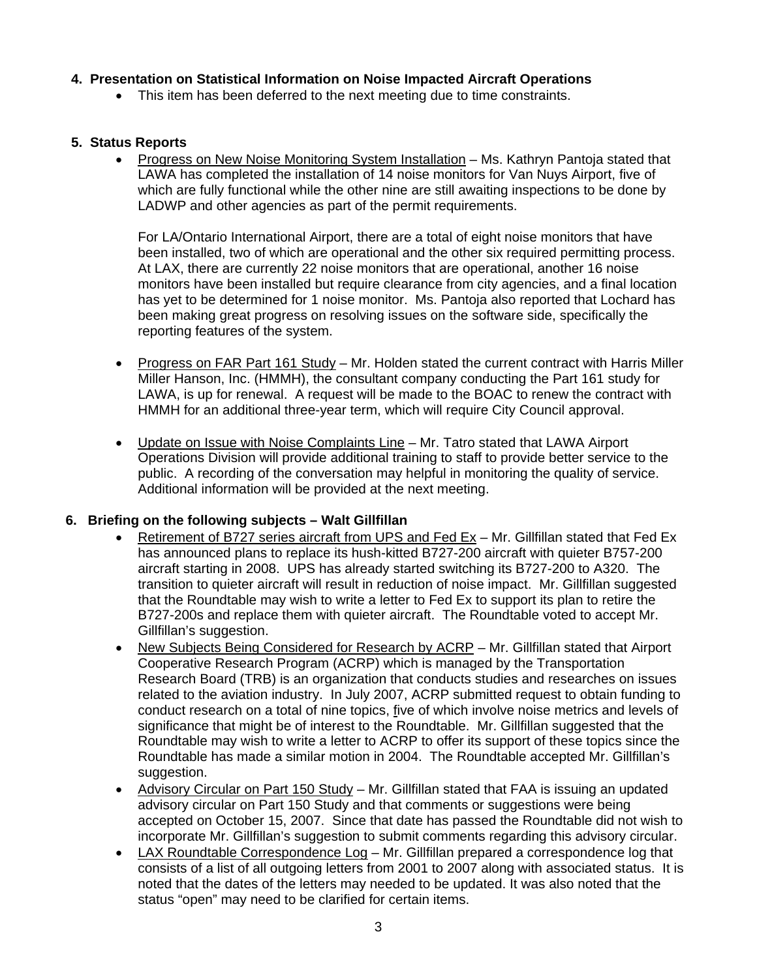### **4. Presentation on Statistical Information on Noise Impacted Aircraft Operations**

• This item has been deferred to the next meeting due to time constraints.

#### **5. Status Reports**

• Progress on New Noise Monitoring System Installation – Ms. Kathryn Pantoja stated that LAWA has completed the installation of 14 noise monitors for Van Nuys Airport, five of which are fully functional while the other nine are still awaiting inspections to be done by LADWP and other agencies as part of the permit requirements.

For LA/Ontario International Airport, there are a total of eight noise monitors that have been installed, two of which are operational and the other six required permitting process. At LAX, there are currently 22 noise monitors that are operational, another 16 noise monitors have been installed but require clearance from city agencies, and a final location has yet to be determined for 1 noise monitor. Ms. Pantoja also reported that Lochard has been making great progress on resolving issues on the software side, specifically the reporting features of the system.

- Progress on FAR Part 161 Study Mr. Holden stated the current contract with Harris Miller Miller Hanson, Inc. (HMMH), the consultant company conducting the Part 161 study for LAWA, is up for renewal. A request will be made to the BOAC to renew the contract with HMMH for an additional three-year term, which will require City Council approval.
- Update on Issue with Noise Complaints Line Mr. Tatro stated that LAWA Airport Operations Division will provide additional training to staff to provide better service to the public. A recording of the conversation may helpful in monitoring the quality of service. Additional information will be provided at the next meeting.

#### **6. Briefing on the following subjects – Walt Gillfillan**

- Retirement of B727 series aircraft from UPS and Fed Ex Mr. Gillfillan stated that Fed Ex has announced plans to replace its hush-kitted B727-200 aircraft with quieter B757-200 aircraft starting in 2008. UPS has already started switching its B727-200 to A320. The transition to quieter aircraft will result in reduction of noise impact. Mr. Gillfillan suggested that the Roundtable may wish to write a letter to Fed Ex to support its plan to retire the B727-200s and replace them with quieter aircraft. The Roundtable voted to accept Mr. Gillfillan's suggestion.
- New Subjects Being Considered for Research by ACRP Mr. Gillfillan stated that Airport Cooperative Research Program (ACRP) which is managed by the Transportation Research Board (TRB) is an organization that conducts studies and researches on issues related to the aviation industry. In July 2007, ACRP submitted request to obtain funding to conduct research on a total of nine topics, five of which involve noise metrics and levels of significance that might be of interest to the Roundtable. Mr. Gillfillan suggested that the Roundtable may wish to write a letter to ACRP to offer its support of these topics since the Roundtable has made a similar motion in 2004. The Roundtable accepted Mr. Gillfillan's suggestion.
- Advisory Circular on Part 150 Study Mr. Gillfillan stated that FAA is issuing an updated advisory circular on Part 150 Study and that comments or suggestions were being accepted on October 15, 2007. Since that date has passed the Roundtable did not wish to incorporate Mr. Gillfillan's suggestion to submit comments regarding this advisory circular.
- LAX Roundtable Correspondence Log Mr. Gillfillan prepared a correspondence log that consists of a list of all outgoing letters from 2001 to 2007 along with associated status. It is noted that the dates of the letters may needed to be updated. It was also noted that the status "open" may need to be clarified for certain items.